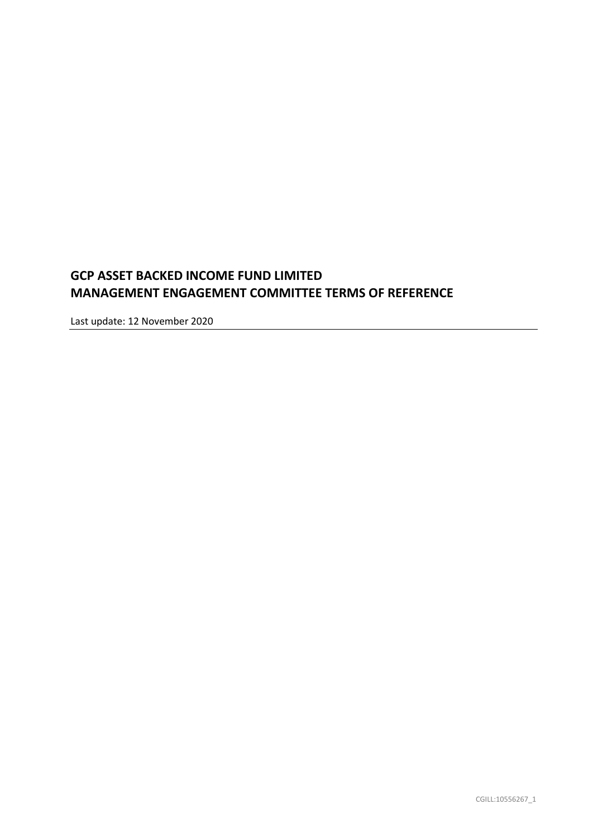# **GCP ASSET BACKED INCOME FUND LIMITED MANAGEMENT ENGAGEMENT COMMITTEE TERMS OF REFERENCE**

Last update: 12 November 2020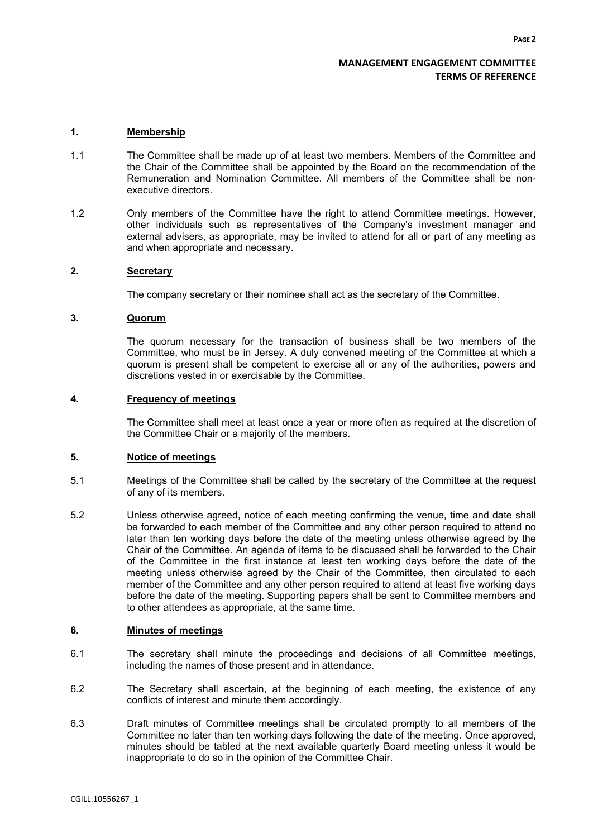# **MANAGEMENT ENGAGEMENT COMMITTEE TERMS OF REFERENCE**

## **1. Membership**

- 1.1 The Committee shall be made up of at least two members. Members of the Committee and the Chair of the Committee shall be appointed by the Board on the recommendation of the Remuneration and Nomination Committee. All members of the Committee shall be nonexecutive directors.
- 1.2 Only members of the Committee have the right to attend Committee meetings. However, other individuals such as representatives of the Company's investment manager and external advisers, as appropriate, may be invited to attend for all or part of any meeting as and when appropriate and necessary.

## **2. Secretary**

The company secretary or their nominee shall act as the secretary of the Committee.

#### **3. Quorum**

The quorum necessary for the transaction of business shall be two members of the Committee, who must be in Jersey. A duly convened meeting of the Committee at which a quorum is present shall be competent to exercise all or any of the authorities, powers and discretions vested in or exercisable by the Committee.

## **4. Frequency of meetings**

The Committee shall meet at least once a year or more often as required at the discretion of the Committee Chair or a majority of the members.

#### **5. Notice of meetings**

- 5.1 Meetings of the Committee shall be called by the secretary of the Committee at the request of any of its members.
- 5.2 Unless otherwise agreed, notice of each meeting confirming the venue, time and date shall be forwarded to each member of the Committee and any other person required to attend no later than ten working days before the date of the meeting unless otherwise agreed by the Chair of the Committee. An agenda of items to be discussed shall be forwarded to the Chair of the Committee in the first instance at least ten working days before the date of the meeting unless otherwise agreed by the Chair of the Committee, then circulated to each member of the Committee and any other person required to attend at least five working days before the date of the meeting. Supporting papers shall be sent to Committee members and to other attendees as appropriate, at the same time.

#### **6. Minutes of meetings**

- 6.1 The secretary shall minute the proceedings and decisions of all Committee meetings, including the names of those present and in attendance.
- 6.2 The Secretary shall ascertain, at the beginning of each meeting, the existence of any conflicts of interest and minute them accordingly.
- 6.3 Draft minutes of Committee meetings shall be circulated promptly to all members of the Committee no later than ten working days following the date of the meeting. Once approved, minutes should be tabled at the next available quarterly Board meeting unless it would be inappropriate to do so in the opinion of the Committee Chair.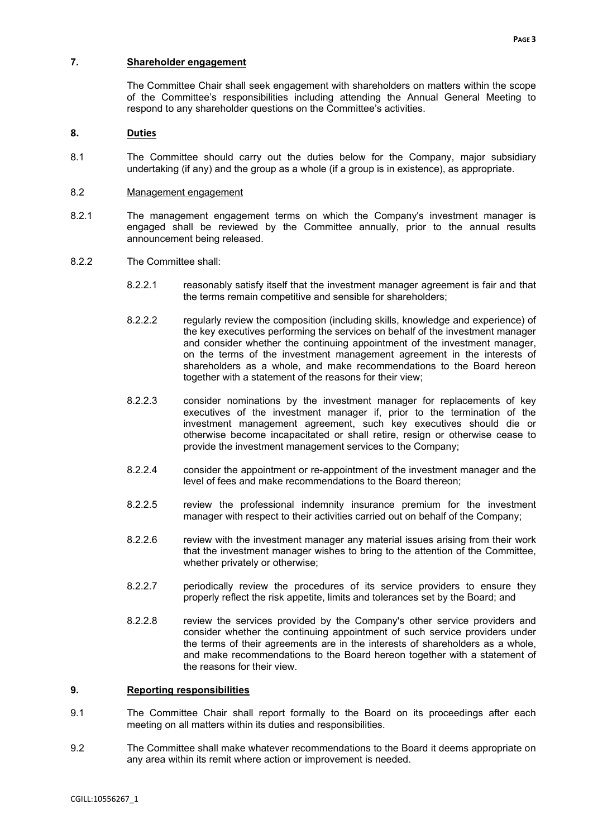# **7. Shareholder engagement**

The Committee Chair shall seek engagement with shareholders on matters within the scope of the Committee's responsibilities including attending the Annual General Meeting to respond to any shareholder questions on the Committee's activities.

# **8. Duties**

8.1 The Committee should carry out the duties below for the Company, major subsidiary undertaking (if any) and the group as a whole (if a group is in existence), as appropriate.

## 8.2 Management engagement

- 8.2.1 The management engagement terms on which the Company's investment manager is engaged shall be reviewed by the Committee annually, prior to the annual results announcement being released.
- 8.2.2 The Committee shall:
	- 8.2.2.1 reasonably satisfy itself that the investment manager agreement is fair and that the terms remain competitive and sensible for shareholders;
	- 8.2.2.2 regularly review the composition (including skills, knowledge and experience) of the key executives performing the services on behalf of the investment manager and consider whether the continuing appointment of the investment manager, on the terms of the investment management agreement in the interests of shareholders as a whole, and make recommendations to the Board hereon together with a statement of the reasons for their view;
	- 8.2.2.3 consider nominations by the investment manager for replacements of key executives of the investment manager if, prior to the termination of the investment management agreement, such key executives should die or otherwise become incapacitated or shall retire, resign or otherwise cease to provide the investment management services to the Company;
	- 8.2.2.4 consider the appointment or re-appointment of the investment manager and the level of fees and make recommendations to the Board thereon;
	- 8.2.2.5 review the professional indemnity insurance premium for the investment manager with respect to their activities carried out on behalf of the Company;
	- 8.2.2.6 review with the investment manager any material issues arising from their work that the investment manager wishes to bring to the attention of the Committee, whether privately or otherwise;
	- 8.2.2.7 periodically review the procedures of its service providers to ensure they properly reflect the risk appetite, limits and tolerances set by the Board; and
	- 8.2.2.8 review the services provided by the Company's other service providers and consider whether the continuing appointment of such service providers under the terms of their agreements are in the interests of shareholders as a whole, and make recommendations to the Board hereon together with a statement of the reasons for their view.

## **9. Reporting responsibilities**

- 9.1 The Committee Chair shall report formally to the Board on its proceedings after each meeting on all matters within its duties and responsibilities.
- 9.2 The Committee shall make whatever recommendations to the Board it deems appropriate on any area within its remit where action or improvement is needed.